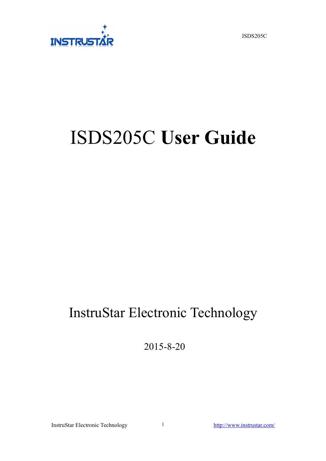ISDS205C



# ISDS205C **User Guide**

## InstruStar Electronic Technology

2015-8-20

InstruStar Electronic Technology <http://www.instrustar.com/>

1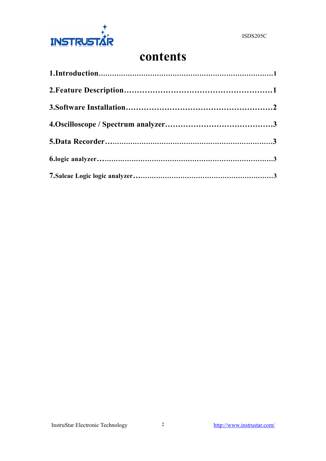

## **contents**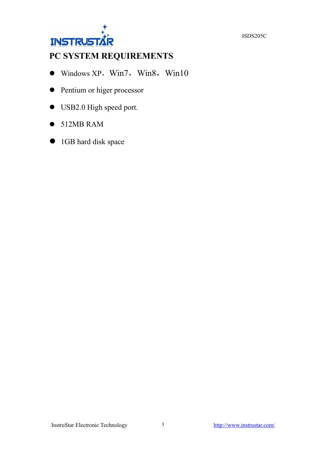ISDS205C



### **PC SYSTEM REQUIREMENTS**

- $\bullet$  Windows XP, Win7, Win8, Win10
- Pentium or higer processor
- USB2.0 High speed port.
- $\bullet$  512MB RAM
- **1GB** hard disk space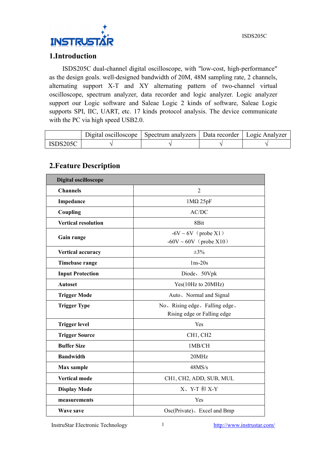

#### **1.Introduction**

ISDS205C dual-channel digital oscilloscope, with "low-cost, high-performance" as the design goals. well-designed bandwidth of 20M, 48M sampling rate, 2 channels, alternating support X-T and XY alternating pattern of two-channel virtual oscilloscope, spectrum analyzer, data recorder and logic analyzer. Logic analyzer support our Logic software and Saleae Logic 2 kinds of software, Saleae Logic supports SPI, IIC, UART, etc. 17 kinds protocol analysis. The device communicate with the PC via high speed USB2.0.

| Digital oscilloscope | Spectrum analyzers | Data recorder | Logic Analyzer |
|----------------------|--------------------|---------------|----------------|
|                      |                    |               |                |

#### **2.Feature Description**

| <b>Digital oscilloscope</b> |                                                               |
|-----------------------------|---------------------------------------------------------------|
| <b>Channels</b>             | $\overline{2}$                                                |
| Impedance                   | $1M\Omega$ 25pF                                               |
| Coupling                    | AC/DC                                                         |
| <b>Vertical resolution</b>  | 8Bit                                                          |
| Gain range                  | $-6V \sim 6V$ (probe X1)<br>$-60V \sim 60V$ (probe X10)       |
| Vertical accuracy           | $\pm 3\%$                                                     |
| Timebase range              | $1ns-20s$                                                     |
| <b>Input Protection</b>     | Diode, 50Vpk                                                  |
| <b>Autoset</b>              | Yes(10Hz to 20MHz)                                            |
| <b>Trigger Mode</b>         | Auto, Normal and Signal                                       |
| <b>Trigger Type</b>         | No. Rising edge, Falling edge,<br>Rising edge or Falling edge |
| <b>Trigger level</b>        | Yes                                                           |
| <b>Trigger Source</b>       | CH1, CH2                                                      |
| <b>Buffer Size</b>          | 1MB/CH                                                        |
| <b>Bandwidth</b>            | 20MHz                                                         |
| Max sample                  | 48MS/s                                                        |
| <b>Vertical mode</b>        | CH1, CH2, ADD, SUB, MUL                                       |
| <b>Display Mode</b>         | X、Y-T 和 X-Y                                                   |
| measurements                | Yes                                                           |
| <b>Wave save</b>            | Osc(Private), Excel and Bmp                                   |

InstruStar Electronic Technology <http://www.instrustar.com/>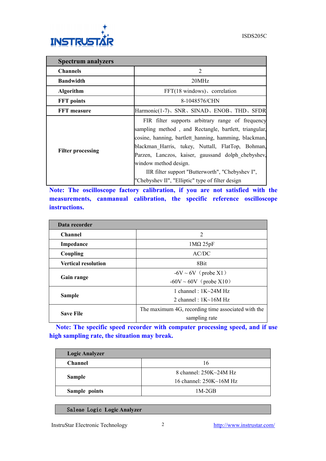

| <b>Spectrum analyzers</b> |                                                                                                                                                                                                                                                                                                                                                                                                                |  |
|---------------------------|----------------------------------------------------------------------------------------------------------------------------------------------------------------------------------------------------------------------------------------------------------------------------------------------------------------------------------------------------------------------------------------------------------------|--|
| <b>Channels</b>           | $\overline{2}$                                                                                                                                                                                                                                                                                                                                                                                                 |  |
| <b>Bandwidth</b>          | 20MHz                                                                                                                                                                                                                                                                                                                                                                                                          |  |
| <b>Algorithm</b>          | $FFT(18 \text{ windows})$ , correlation                                                                                                                                                                                                                                                                                                                                                                        |  |
| <b>FFT</b> points         | 8-1048576/CHN                                                                                                                                                                                                                                                                                                                                                                                                  |  |
| <b>FFT</b> measure        | Harmonic(1-7), SNR, SINAD, ENOB, THD, SFDR                                                                                                                                                                                                                                                                                                                                                                     |  |
| <b>Filter processing</b>  | FIR filter supports arbitrary range of frequency<br>sampling method, and Rectangle, bartlett, triangular,<br>cosine, hanning, bartlett hanning, hamming, blackman,<br>blackman Harris, tukey, Nuttall, FlatTop, Bohman,<br>Parzen, Lanczos, kaiser, gaussand dolph chebyshev,<br>window method design.<br>IIR filter support "Butterworth", "Chebyshev I",<br>"Chebyshev II", "Elliptic" type of filter design |  |

**Note: The oscilloscope factory calibration, if you are not satisfied with the measurements, canmanual calibration, the specific reference oscilloscope instructions.**

| Data recorder              |                                                    |
|----------------------------|----------------------------------------------------|
| <b>Channel</b>             | 2                                                  |
| Impedance                  | $1\text{M}\Omega$ 25pF                             |
| Coupling                   | AC/DC                                              |
| <b>Vertical resolution</b> | 8Bit                                               |
| Gain range                 | $-6V \sim 6V$ (probe X1)                           |
|                            | $-60V \sim 60V$ (probe X10)                        |
|                            | 1 channel : $1K\sim24M$ Hz                         |
| <b>Sample</b>              | 2 channel : $1K~16M Hz$                            |
| <b>Save File</b>           | The maximum 4G, recording time associated with the |
|                            | sampling rate                                      |

**Note: The specific speed recorder with computer processing speed, and if use high sampling rate, the situation may break.**

| <b>Logic Analyzer</b> |                                |
|-----------------------|--------------------------------|
| <b>Channel</b>        | 16                             |
| <b>Sample</b>         | 8 channel: 250K~24M Hz         |
|                       | 16 channel: $250K \sim 16M$ Hz |
| Sample points         | $1M-2GB$                       |

Saleae Logic **Logic Analyzer**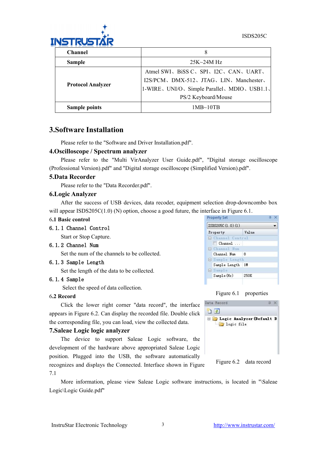

| <b>Channel</b>           |                                               |
|--------------------------|-----------------------------------------------|
| <b>Sample</b>            | $25K-24M$ Hz                                  |
|                          | Atmel SWI, BiSS C, SPI, I2C, CAN, UART,       |
| <b>Protocol Analyzer</b> | I2S/PCM、DMX-512、JTAG、LIN、Manchester、          |
|                          | 1-WIRE, UNI/O, Simple Parallel, MDIO, USB1.1, |
|                          | PS/2 Keyboard/Mouse                           |
| <b>Sample points</b>     | 1MB~10TB                                      |

#### **3.Software Installation**

Please refer to the "Software and Driver Installation.pdf".

#### **4.Oscilloscope / Spectrum analyzer**

Please refer to the "Multi VirAnalyzer User Guide.pdf", "Digital storage oscilloscope (Professional Version).pdf" and "Digital storage oscilloscope (Simplified Version).pdf".

#### **5.Data Recorder**

Please refer to the "Data Recorder.pdf".

#### **6.Logic Analyzer**

After the success of USB devices, data recoder, equipment selection drop-downcombo box will appear ISDS205C(1.0) (N) option, choose a good future, the interface in Figure 6.1.

#### 6**.1 Basic control**

#### 6.1.1 Channel Control

Start or Stop Capture.

#### 6.1.2 Channel Num

Set the num of the channels to be collected.

#### 6.1.3 Sample Length

Set the length of the data to be collected.

#### 6.1.4 Sample

Select the speed of data collection.

#### 6**.2 Record**

Click the lower right corner "data record", the interface  $\frac{\text{Data Record}}{\text{Data Proof}}$ appears in Figure 6.2. Can display the recorded file. Double click  $\Box$  Logic Analyzer (Default D the corresponding file, you can load, view the collected data.

#### **7.Saleae Logic logic analyzer**

The device to support Saleae Logic software, the development of the hardware above appropriated Saleae Logic position. Plugged into the USB, the software automatically recognizes and displays the Connected. Interface shown in Figure

#### 7.1

More information, please view Saleae Logic software instructions, is located in "\Saleae Logic\Logic Guide.pdf"





250K

 $Sample(Hz)$ 



Figure 6.2 data record